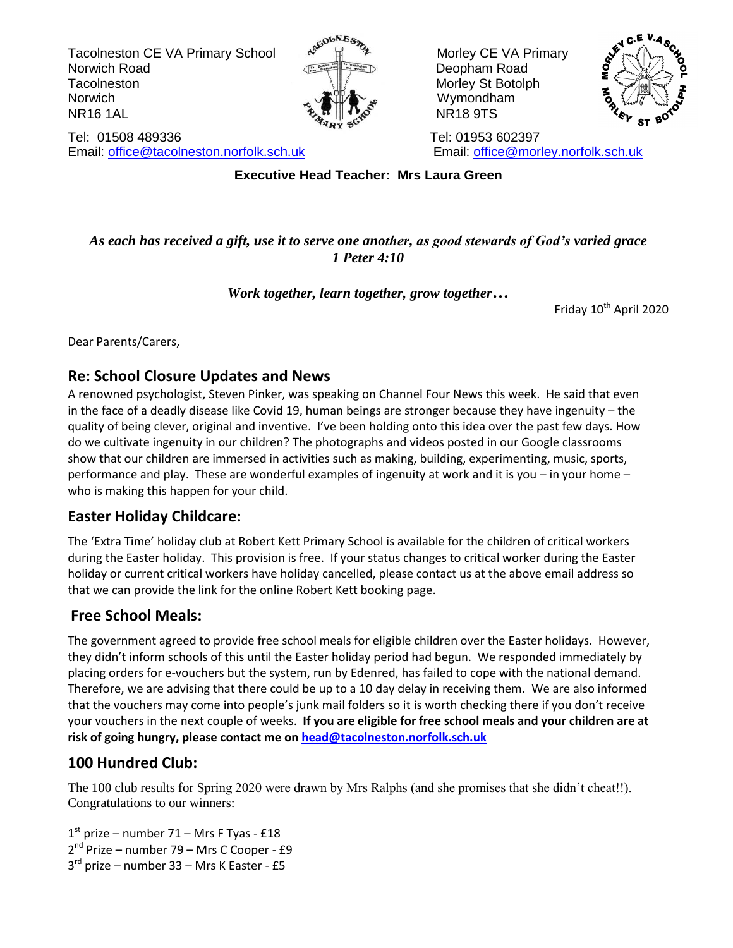Tacolneston CE VA Primary School A<sup>scouves</sup> A Morley CE VA Primary Norwich Road **Deopham Road** Deopham Road Tacolneston **Morris Structure Structure Structure Morley Structure Structure Morley Structure** Norwich  $\sim$   $\sqrt{11/\sqrt{2}}$  wymondham  $\mathbb{R}$  NR16 1AL NR16 1AL NR16 9TS





Tel: 01508 489336 Tel: 01953 602397 Email: [office@tacolneston.norfolk.sch.uk](mailto:office@tacolneston.norfolk.sch.uk) Email: [office@morley.norfolk.sch.uk](mailto:office@morley.norfolk.sch.uk) 

**Executive Head Teacher: Mrs Laura Green**

## *As each has received a gift, use it to serve one another, as good stewards of God's varied grace 1 Peter 4:10*

# *Work together, learn together, grow together…*

Friday 10<sup>th</sup> April 2020

Dear Parents/Carers,

# **Re: School Closure Updates and News**

A renowned psychologist, Steven Pinker, was speaking on Channel Four News this week. He said that even in the face of a deadly disease like Covid 19, human beings are stronger because they have ingenuity – the quality of being clever, original and inventive. I've been holding onto this idea over the past few days. How do we cultivate ingenuity in our children? The photographs and videos posted in our Google classrooms show that our children are immersed in activities such as making, building, experimenting, music, sports, performance and play. These are wonderful examples of ingenuity at work and it is you – in your home – who is making this happen for your child.

# **Easter Holiday Childcare:**

The 'Extra Time' holiday club at Robert Kett Primary School is available for the children of critical workers during the Easter holiday. This provision is free. If your status changes to critical worker during the Easter holiday or current critical workers have holiday cancelled, please contact us at the above email address so that we can provide the link for the online Robert Kett booking page.

# **Free School Meals:**

The government agreed to provide free school meals for eligible children over the Easter holidays. However, they didn't inform schools of this until the Easter holiday period had begun. We responded immediately by placing orders for e-vouchers but the system, run by Edenred, has failed to cope with the national demand. Therefore, we are advising that there could be up to a 10 day delay in receiving them. We are also informed that the vouchers may come into people's junk mail folders so it is worth checking there if you don't receive your vouchers in the next couple of weeks. **If you are eligible for free school meals and your children are at risk of going hungry, please contact me on [head@tacolneston.norfolk.sch.uk](mailto:head@tacolneston.norfolk.sch.uk)**

# **100 Hundred Club:**

The 100 club results for Spring 2020 were drawn by Mrs Ralphs (and she promises that she didn't cheat!!). Congratulations to our winners:

- 1 st prize number 71 Mrs F Tyas £18
- 2<sup>nd</sup> Prize number 79 Mrs C Cooper £9
- 3<sup>rd</sup> prize number 33 Mrs K Easter £5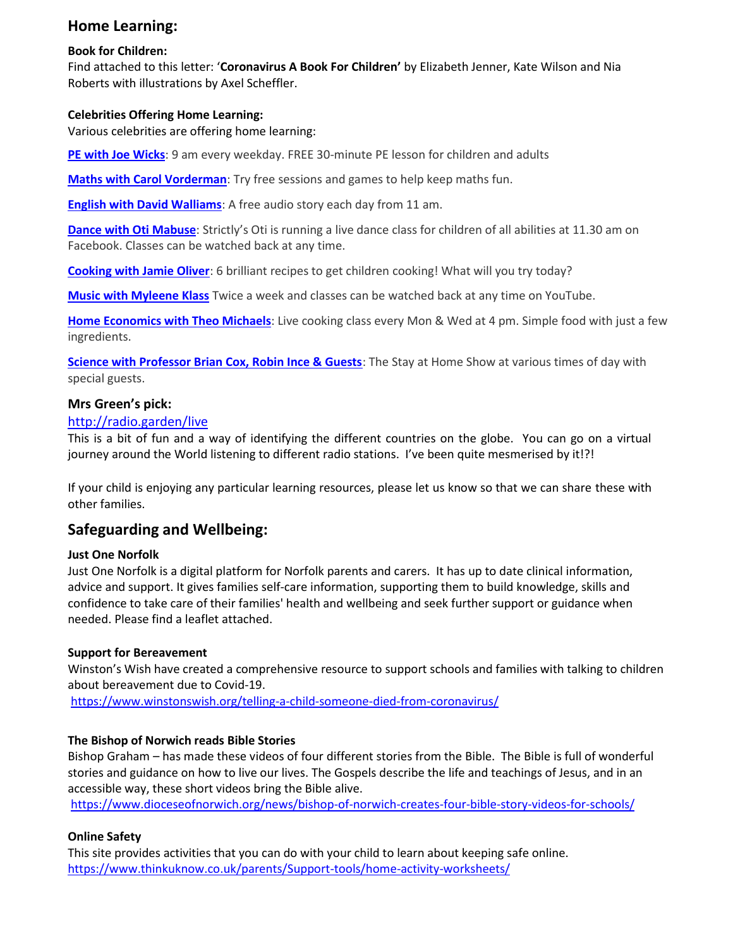# **Home Learning:**

#### **Book for Children:**

Find attached to this letter: '**Coronavirus A Book For Children'** by Elizabeth Jenner, Kate Wilson and Nia Roberts with illustrations by Axel Scheffler.

### **Celebrities Offering Home Learning:**

Various celebrities are offering home learning:

**[PE with Joe Wicks](https://www.youtube.com/user/thebodycoach1)**: 9 am every weekday. FREE 30-minute PE lesson for children and adults

**[Maths with Carol Vorderman](https://www.themathsfactor.com/)**: Try free sessions and games to help keep maths fun.

**[English with David Walliams](https://www.worldofdavidwalliams.com/elevenses/)**: A free audio story each day from 11 am.

**[Dance with Oti Mabuse](https://www.facebook.com/OtiMabuse/)**: Strictly's Oti is running a live dance class for children of all abilities at 11.30 am on Facebook. Classes can be watched back at any time.

**[Cooking with Jamie Oliver](https://www.jamieoliver.com/features/category/get-kids-cooking/)**: 6 brilliant recipes to get children cooking! What will you try today?

**[Music with Myleene Klass](https://www.youtube.com/channel/UCQh2wgJ5tOrixYBn6jFXsXQ)** Twice a week and classes can be watched back at any time on YouTube.

**[Home Economics with Theo Michaels](https://www.instagram.com/theocooks)**: Live cooking class every Mon & Wed at 4 pm. Simple food with just a few ingredients.

**[Science with Professor Brian Cox, Robin Ince & Guests](https://cosmicshambles.com/stayathome/upcoming-schedule)**: The Stay at Home Show at various times of day with special guests.

## **Mrs Green's pick:**

## <http://radio.garden/live>

This is a bit of fun and a way of identifying the different countries on the globe. You can go on a virtual journey around the World listening to different radio stations. I've been quite mesmerised by it!?!

If your child is enjoying any particular learning resources, please let us know so that we can share these with other families.

# **Safeguarding and Wellbeing:**

#### **Just One Norfolk**

Just One Norfolk is a digital platform for Norfolk parents and carers. It has up to date clinical information, advice and support. It gives families self-care information, supporting them to build knowledge, skills and confidence to take care of their families' health and wellbeing and seek further support or guidance when needed. Please find a leaflet attached.

## **Support for Bereavement**

Winston's Wish have created a comprehensive resource to support schools and families with talking to children about bereavement due to Covid-19.

<https://www.winstonswish.org/telling-a-child-someone-died-from-coronavirus/>

## **The Bishop of Norwich reads Bible Stories**

Bishop Graham – has made these videos of four different stories from the Bible. The Bible is full of wonderful stories and guidance on how to live our lives. The Gospels describe the life and teachings of Jesus, and in an accessible way, these short videos bring the Bible alive.

<https://www.dioceseofnorwich.org/news/bishop-of-norwich-creates-four-bible-story-videos-for-schools/>

## **Online Safety**

This site provides activities that you can do with your child to learn about keeping safe online. <https://www.thinkuknow.co.uk/parents/Support-tools/home-activity-worksheets/>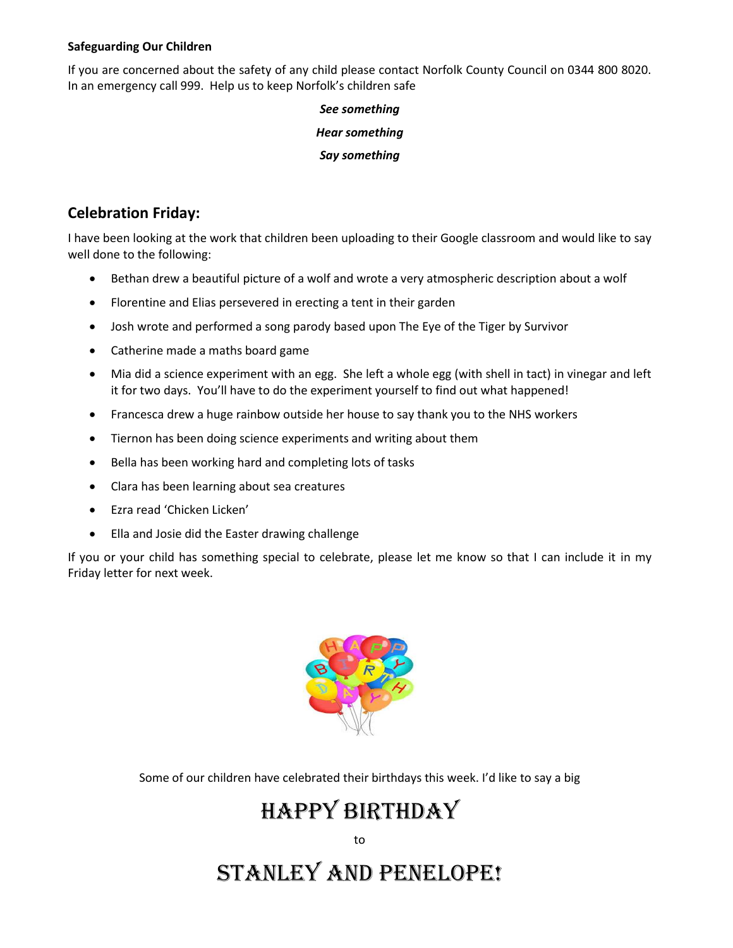#### **Safeguarding Our Children**

If you are concerned about the safety of any child please contact Norfolk County Council on 0344 800 8020. In an emergency call 999. Help us to keep Norfolk's children safe

> *See something Hear something Say something*

# **Celebration Friday:**

I have been looking at the work that children been uploading to their Google classroom and would like to say well done to the following:

- Bethan drew a beautiful picture of a wolf and wrote a very atmospheric description about a wolf
- Florentine and Elias persevered in erecting a tent in their garden
- Josh wrote and performed a song parody based upon The Eye of the Tiger by Survivor
- Catherine made a maths board game
- Mia did a science experiment with an egg. She left a whole egg (with shell in tact) in vinegar and left it for two days. You'll have to do the experiment yourself to find out what happened!
- Francesca drew a huge rainbow outside her house to say thank you to the NHS workers
- Tiernon has been doing science experiments and writing about them
- Bella has been working hard and completing lots of tasks
- Clara has been learning about sea creatures
- Ezra read 'Chicken Licken'
- Ella and Josie did the Easter drawing challenge

If you or your child has something special to celebrate, please let me know so that I can include it in my Friday letter for next week.



Some of our children have celebrated their birthdays this week. I'd like to say a big

# Happy birthday

to

# Stanley and pENELOPE!